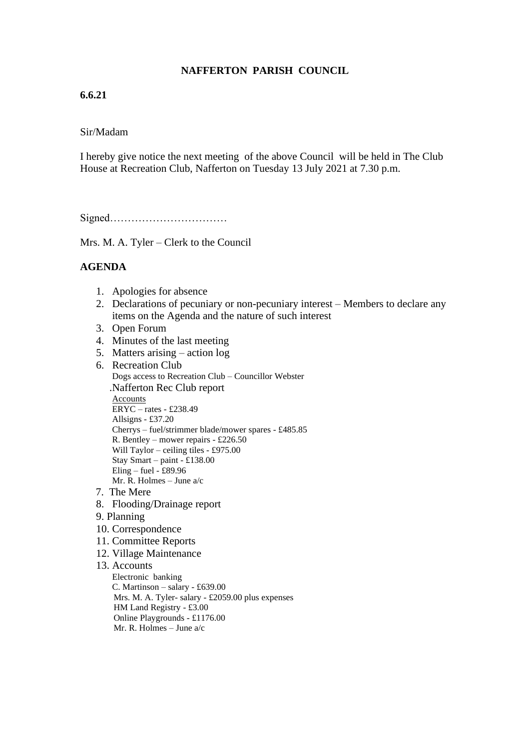# **NAFFERTON PARISH COUNCIL**

# **6.6.21**

### Sir/Madam

I hereby give notice the next meeting of the above Council will be held in The Club House at Recreation Club, Nafferton on Tuesday 13 July 2021 at 7.30 p.m.

Signed……………………………

Mrs. M. A. Tyler – Clerk to the Council

#### **AGENDA**

- 1. Apologies for absence
- 2. Declarations of pecuniary or non-pecuniary interest Members to declare any items on the Agenda and the nature of such interest
- 3. Open Forum
- 4. Minutes of the last meeting
- 5. Matters arising action log
- 6. Recreation Club Dogs access to Recreation Club – Councillor Webster .Nafferton Rec Club report Accounts ERYC – rates - £238.49 Allsigns - £37.20 Cherrys – fuel/strimmer blade/mower spares - £485.85 R. Bentley – mower repairs - £226.50 Will Taylor – ceiling tiles - £975.00 Stay Smart – paint - £138.00 Eling – fuel -  $£89.96$ Mr. R. Holmes – June a/c
- 7. The Mere
- 8. Flooding/Drainage report
- 9. Planning
- 10. Correspondence
- 11. Committee Reports
- 12. Village Maintenance

#### 13. Accounts

 Electronic banking C. Martinson – salary - £639.00 Mrs. M. A. Tyler- salary - £2059.00 plus expenses HM Land Registry - £3.00 Online Playgrounds - £1176.00 Mr. R. Holmes – June a/c